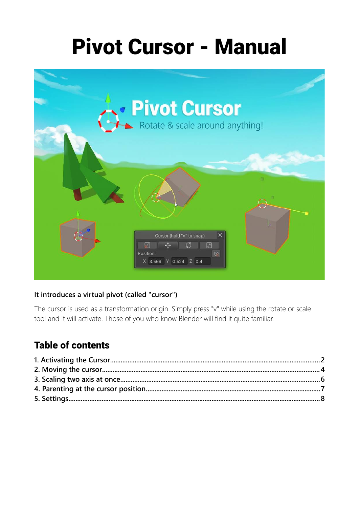# Pivot Cursor - Manual



#### **It introduces a virtual pivot (called "cursor")**

The cursor is used as a transformation origin. Simply press "v" while using the rotate or scale tool and it will activate. Those of you who know Blender will find it quite familiar.

#### Table of contents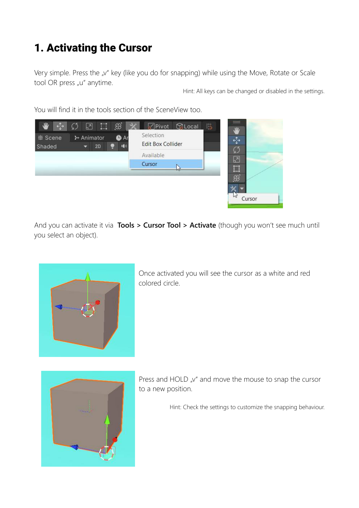## <span id="page-1-0"></span>1. Activating the Cursor

Very simple. Press the "v" key (like you do for snapping) while using the Move, Rotate or Scale tool OR press "u" anytime.

Hint: All keys can be changed or disabled in the settings.

You will find it in the tools section of the SceneView too.



And you can activate it via **Tools > Cursor Tool > Activate** (though you won't see much until you select an object).



Once activated you will see the cursor as a white and red colored circle.



Press and HOLD  $\mu$ <sup>"</sup> and move the mouse to snap the cursor to a new position.

Hint: Check the settings to customize the snapping behaviour.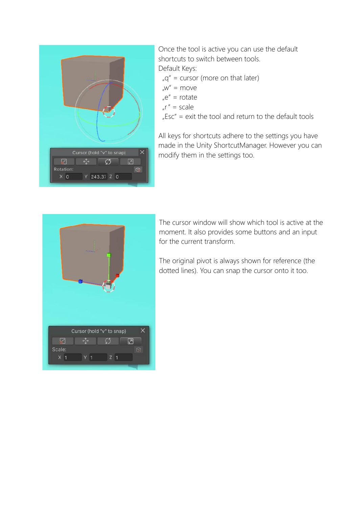

Once the tool is active you can use the default shortcuts to switch between tools. Default Keys:

 $_{n}q''$  = cursor (more on that later)

- $w'' =$  move
- $^{\prime\prime}$  = rotate
- $\int r'' = \text{scale}$

 $Esc'' = exit$  the tool and return to the default tools

All keys for shortcuts adhere to the settings you have made in the Unity ShortcutManager. However you can modify them in the settings too.



The cursor window will show which tool is active at the moment. It also provides some buttons and an input for the current transform.

The original pivot is always shown for reference (the dotted lines). You can snap the cursor onto it too.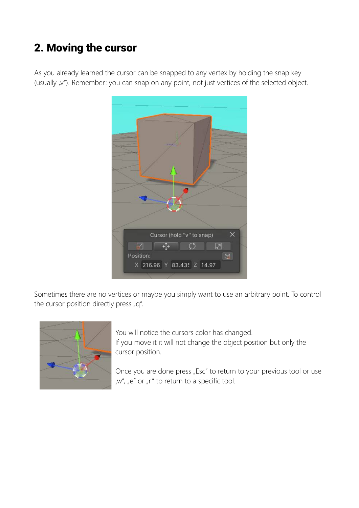## <span id="page-3-0"></span>2. Moving the cursor

As you already learned the cursor can be snapped to any vertex by holding the snap key (usually "v"). Remember: you can snap on any point, not just vertices of the selected object.



Sometimes there are no vertices or maybe you simply want to use an arbitrary point. To control the cursor position directly press  $_n q^n$ .



You will notice the cursors color has changed.

If you move it it will not change the object position but only the cursor position.

Once you are done press "Esc" to return to your previous tool or use "w", "e" or "r" to return to a specific tool.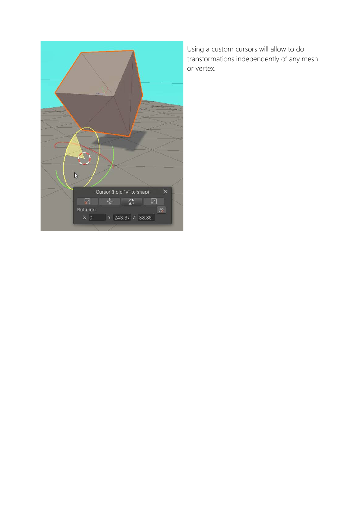

Using a custom cursors will allow to do transformations independently of any mesh or vertex.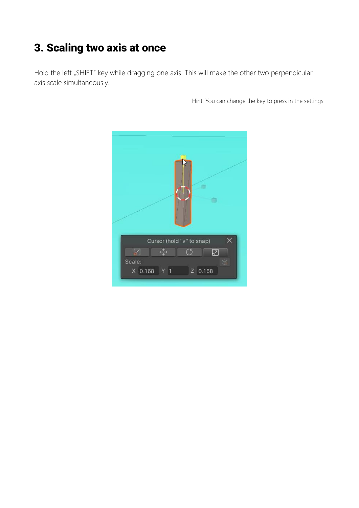#### <span id="page-5-0"></span>3. Scaling two axis at once

Hold the left "SHIFT" key while dragging one axis. This will make the other two perpendicular axis scale simultaneously.

Hint: You can change the key to press in the settings.

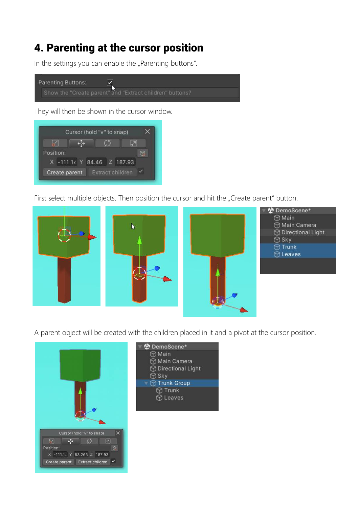#### <span id="page-6-0"></span>4. Parenting at the cursor position

In the settings you can enable the "Parenting buttons".



They will then be shown in the cursor window.



First select multiple objects. Then position the cursor and hit the "Create parent" button.



- **DemoScene\***  $\bigcirc$  Main Main Camera **Directional Light**  $\bigcirc$  Sky **Trunk** 
	- *<u>Oleaves</u>*

A parent object will be created with the children placed in it and a pivot at the cursor position.